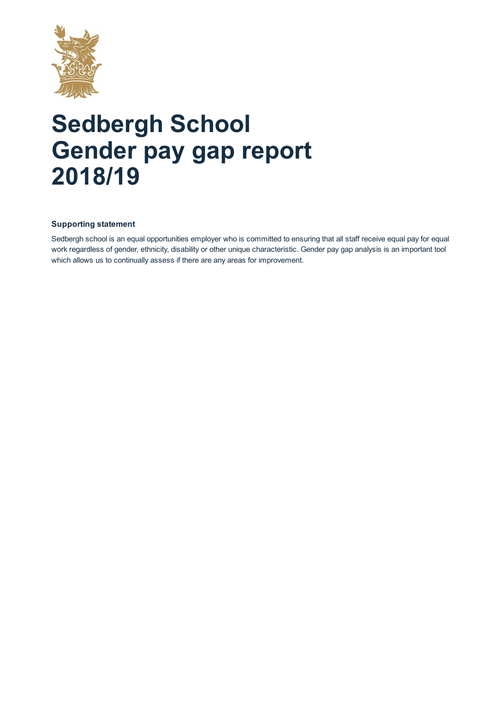

# **Sedbergh School Gender pay gap report 2018/19**

## **Supporting statement**

Sedbergh school is an equal opportunities employer who is committed to ensuring that all staff receive equal pay for equal work regardless of gender, ethnicity, disability or other unique characteristic. Gender pay gap analysis is an important tool which allows us to continually assess if there are any areas for improvement.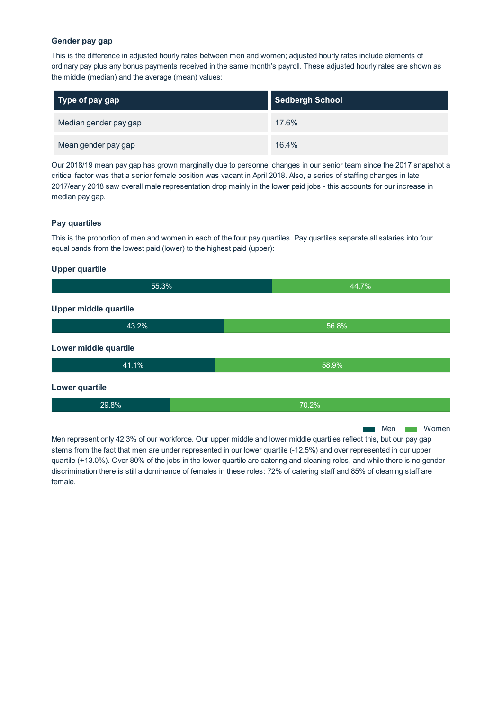#### **Gender pay gap**

This is the difference in adjusted hourly rates between men and women; adjusted hourly rates include elements of ordinary pay plus any bonus payments received in the same month's payroll. These adjusted hourly rates are shown as the middle (median) and the average (mean) values:

| Type of pay gap       | <b>Sedbergh School</b> |
|-----------------------|------------------------|
| Median gender pay gap | 17.6%                  |
| Mean gender pay gap   | 16.4%                  |

Our 2018/19 mean pay gap has grown marginally due to personnel changes in our senior team since the 2017 snapshot a critical factor was that a senior female position was vacant in April 2018. Also, a series of staffing changes in late 2017/early 2018 saw overall male representation drop mainly in the lower paid jobs - this accounts for our increase in median pay gap.

#### **Pay quartiles**

This is the proportion of men and women in each of the four pay quartiles. Pay quartiles separate all salaries into four equal bands from the lowest paid (lower) to the highest paid (upper):

#### **Upper quartile**

| 55.3%                 |  | 44.7% |     |  |       |
|-----------------------|--|-------|-----|--|-------|
| Upper middle quartile |  |       |     |  |       |
| 43.2%                 |  | 56.8% |     |  |       |
| Lower middle quartile |  |       |     |  |       |
| 41.1%                 |  | 58.9% |     |  |       |
| Lower quartile        |  |       |     |  |       |
| 29.8%                 |  | 70.2% |     |  |       |
|                       |  |       | Men |  | Women |

Men represent only 42.3% of our workforce. Our upper middle and lower middle quartiles reflect this, but our pay gap stems from the fact that men are under represented in our lower quartile (-12.5%) and over represented in our upper quartile (+13.0%). Over 80% of the jobs in the lower quartile are catering and cleaning roles, and while there is no gender discrimination there is still a dominance of females in these roles: 72% of catering staff and 85% of cleaning staff are female.